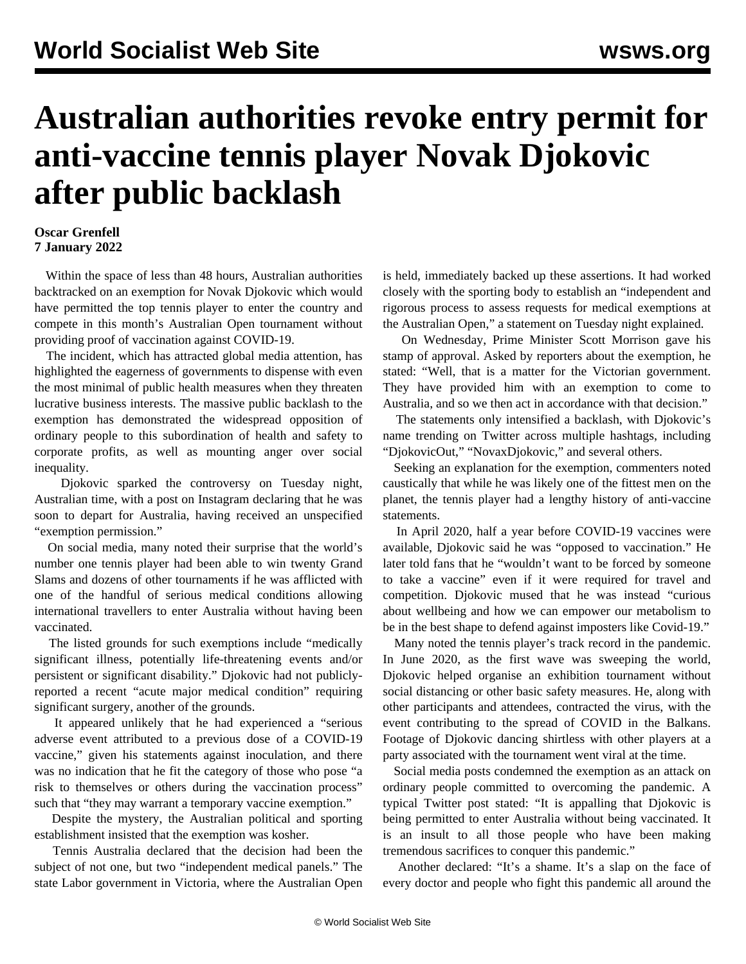## **Australian authorities revoke entry permit for anti-vaccine tennis player Novak Djokovic after public backlash**

## **Oscar Grenfell 7 January 2022**

 Within the space of less than 48 hours, Australian authorities backtracked on an exemption for Novak Djokovic which would have permitted the top tennis player to enter the country and compete in this month's Australian Open tournament without providing proof of vaccination against COVID-19.

 The incident, which has attracted global media attention, has highlighted the eagerness of governments to dispense with even the most minimal of public health measures when they threaten lucrative business interests. The massive public backlash to the exemption has demonstrated the widespread opposition of ordinary people to this subordination of health and safety to corporate profits, as well as mounting anger over social inequality.

 Djokovic sparked the controversy on Tuesday night, Australian time, with a post on Instagram declaring that he was soon to depart for Australia, having received an unspecified "exemption permission."

 On social media, many noted their surprise that the world's number one tennis player had been able to win twenty Grand Slams and dozens of other tournaments if he was afflicted with one of the handful of serious medical conditions allowing international travellers to enter Australia without having been vaccinated.

 The listed grounds for such exemptions include "medically significant illness, potentially life-threatening events and/or persistent or significant disability." Djokovic had not publiclyreported a recent "acute major medical condition" requiring significant surgery, another of the grounds.

 It appeared unlikely that he had experienced a "serious adverse event attributed to a previous dose of a COVID-19 vaccine," given his statements against inoculation, and there was no indication that he fit the category of those who pose "a risk to themselves or others during the vaccination process" such that "they may warrant a temporary vaccine exemption."

 Despite the mystery, the Australian political and sporting establishment insisted that the exemption was kosher.

 Tennis Australia declared that the decision had been the subject of not one, but two "independent medical panels." The state Labor government in Victoria, where the Australian Open is held, immediately backed up these assertions. It had worked closely with the sporting body to establish an "independent and rigorous process to assess requests for medical exemptions at the Australian Open," a statement on Tuesday night explained.

 On Wednesday, Prime Minister Scott Morrison gave his stamp of approval. Asked by reporters about the exemption, he stated: "Well, that is a matter for the Victorian government. They have provided him with an exemption to come to Australia, and so we then act in accordance with that decision."

 The statements only intensified a backlash, with Djokovic's name trending on Twitter across multiple hashtags, including "DjokovicOut," "NovaxDjokovic," and several others.

 Seeking an explanation for the exemption, commenters noted caustically that while he was likely one of the fittest men on the planet, the tennis player had a lengthy history of anti-vaccine statements.

 In April 2020, half a year before COVID-19 vaccines were available, Djokovic said he was "opposed to vaccination." He later told fans that he "wouldn't want to be forced by someone to take a vaccine" even if it were required for travel and competition. Djokovic mused that he was instead "curious about wellbeing and how we can empower our metabolism to be in the best shape to defend against imposters like Covid-19."

 Many noted the tennis player's track record in the pandemic. In June 2020, as the first wave was sweeping the world, Djokovic helped organise an exhibition tournament without social distancing or other basic safety measures. He, along with other participants and attendees, contracted the virus, with the event contributing to the spread of COVID in the Balkans. Footage of Djokovic dancing shirtless with other players at a party associated with the tournament went viral at the time.

 Social media posts condemned the exemption as an attack on ordinary people committed to overcoming the pandemic. A typical Twitter post stated: "It is appalling that Djokovic is being permitted to enter Australia without being vaccinated. It is an insult to all those people who have been making tremendous sacrifices to conquer this pandemic."

 Another declared: "It's a shame. It's a slap on the face of every doctor and people who fight this pandemic all around the